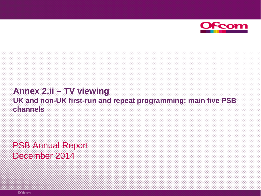

#### **Annex 2.ii – TV viewing UK and non-UK first-run and repeat programming: main five PSB channels**

PSB Annual Report December 2014

©Ofcom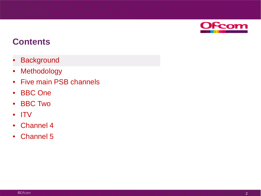

- **Background**
- Methodology
- Five main PSB channels
- BBC One
- BBC Two
- ITV
- Channel 4
- Channel 5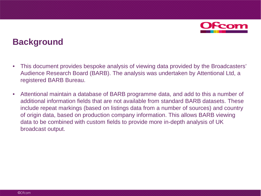

#### **Background**

- This document provides bespoke analysis of viewing data provided by the Broadcasters' Audience Research Board (BARB). The analysis was undertaken by Attentional Ltd, a registered BARB Bureau.
- Attentional maintain a database of BARB programme data, and add to this a number of additional information fields that are not available from standard BARB datasets. These include repeat markings (based on listings data from a number of sources) and country of origin data, based on production company information. This allows BARB viewing data to be combined with custom fields to provide more in-depth analysis of UK broadcast output.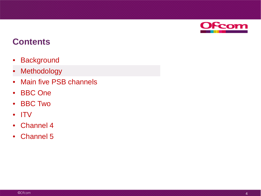

- Background
- **Methodology**
- Main five PSB channels
- BBC One
- BBC Two
- ITV
- Channel 4
- Channel 5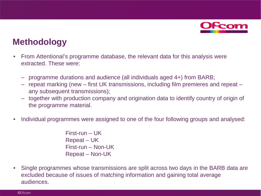

#### **Methodology**

- From Attentional's programme database, the relevant data for this analysis were extracted. These were:
	- programme durations and audience (all individuals aged 4+) from BARB;
	- repeat marking (new first UK transmissions, including film premieres and repeat any subsequent transmissions);
	- together with production company and origination data to identify country of origin of the programme material.
- Individual programmes were assigned to one of the four following groups and analysed:

First-run – UK Repeat – UK First-run – Non-UK Repeat – Non-UK

• Single programmes whose transmissions are split across two days in the BARB data are excluded because of issues of matching information and gaining total average audiences.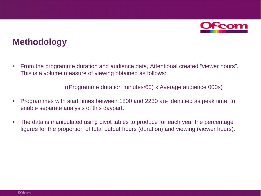

#### **Methodology**

• From the programme duration and audience data, Attentional created "viewer hours". This is a volume measure of viewing obtained as follows:

((Programme duration minutes/60) x Average audience 000s)

- Programmes with start times between 1800 and 2230 are identified as peak time, to enable separate analysis of this daypart.
- The data is manipulated using pivot tables to produce for each year the percentage figures for the proportion of total output hours (duration) and viewing (viewer hours).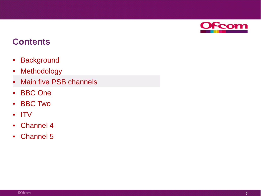

- Background
- Methodology
- **Main five PSB channels**
- BBC One
- BBC Two
- ITV
- Channel 4
- Channel 5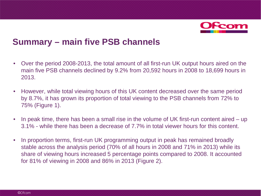

#### **Summary – main five PSB channels**

- Over the period 2008-2013, the total amount of all first-run UK output hours aired on the main five PSB channels declined by 9.2% from 20,592 hours in 2008 to 18,699 hours in 2013.
- However, while total viewing hours of this UK content decreased over the same period by 8.7%, it has grown its proportion of total viewing to the PSB channels from 72% to 75% (Figure 1).
- In peak time, there has been a small rise in the volume of UK first-run content aired up 3.1% - while there has been a decrease of 7.7% in total viewer hours for this content.
- In proportion terms, first-run UK programming output in peak has remained broadly stable across the analysis period (70% of all hours in 2008 and 71% in 2013) while its share of viewing hours increased 5 percentage points compared to 2008. It accounted for 81% of viewing in 2008 and 86% in 2013 (Figure 2).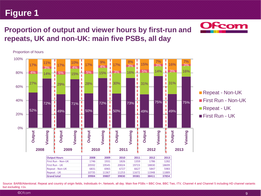#### Source: BARB/Attentional. Repeat and country of origin fields, Individuals 4+, Network, all day. Main five PSBs = BBC One, BBC Two, ITV, Channel 4 and Channel 5 including HD channel variants but excluding +1s.

©Ofcom

#### **Proportion of output and viewer hours by first-run and repeats, UK and non-UK: main five PSBs, all day**



Proportion of hours

**Figure 1**



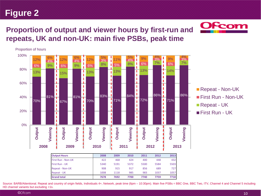#### **Proportion of output and viewer hours by first-run and repeats, UK and non-UK: main five PSBs, peak time**



Source: BARB/Attentional. Repeat and country of origin fields, Individuals 4+, Network, peak time (6pm - 10:30pm). Main five PSBs = BBC One, BBC Two, ITV, Channel 4 and Channel 5 including HD channel variants but excluding +1s.

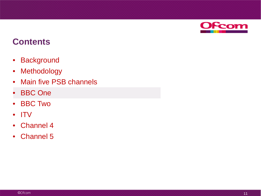

- Background
- Methodology
- Main five PSB channels
- **BBC** One
- BBC Two
- ITV
- Channel 4
- Channel 5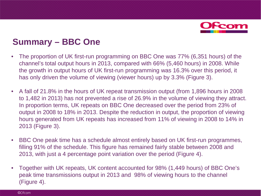

# **Summary – BBC One**

- The proportion of UK first-run programming on BBC One was 77% (6,351 hours) of the channel's total output hours in 2013, compared with 66% (5,460 hours) in 2008. While the growth in output hours of UK first-run programming was 16.3% over this period, it has only driven the volume of viewing (viewer hours) up by 3.3% (Figure 3).
- A fall of 21.8% in the hours of UK repeat transmission output (from 1,896 hours in 2008 to 1,482 in 2013) has not prevented a rise of 26.9% in the volume of viewing they attract. In proportion terms, UK repeats on BBC One decreased over the period from 23% of output in 2008 to 18% in 2013. Despite the reduction in output, the proportion of viewing hours generated from UK repeats has increased from 11% of viewing in 2008 to 14% in 2013 (Figure 3).
- BBC One peak time has a schedule almost entirely based on UK first-run programmes, filling 91% of the schedule. This figure has remained fairly stable between 2008 and 2013, with just a 4 percentage point variation over the period (Figure 4).
- Together with UK repeats, UK content accounted for 98% (1,449 hours) of BBC One's peak time transmissions output in 2013 and 98% of viewing hours to the channel (Figure 4).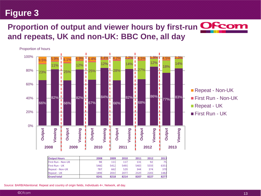# **Proportion of output and viewer hours by first-run OF com and repeats, UK and non-UK: BBC One, all day**





| <b>Output Hours</b> | 2008 | 2009 | 2010 | 2011 | 2012 | 2013 |
|---------------------|------|------|------|------|------|------|
| First Run - Non-UK  | 98   | 111  | 117  | 131  | 92   | 75   |
| First Run - UK      | 5460 | 5412 | 5491 | 5403 | 5559 | 6351 |
| Repeat - Non-UK     | 787  | 662  | 529  | 344  | 374  | 370  |
| Repeat - UK         | 1896 | 2033 | 2077 | 2329 | 2201 | 1482 |
| <b>Grand total</b>  | 8241 | 8218 | 8214 | 8207 | 8227 | 8277 |

Source: BARB/Attentional. Repeat and country of origin fields, Individuals 4+, Network, all day.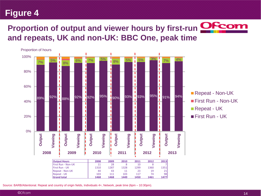# **Proportion of output and viewer hours by first-run <b>OFcon and repeats, UK and non-UK: BBC One, peak time**



Source: BARB/Attentional. Repeat and country of origin fields, Individuals 4+, Network, peak time (6pm – 10:30pm).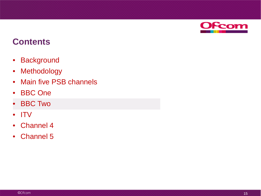

- Background
- Methodology
- Main five PSB channels
- BBC One
- BBC Two
- ITV
- Channel 4
- Channel 5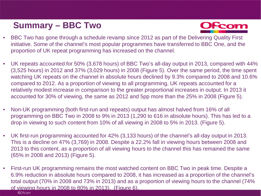# **Summary – BBC Two**



- BBC Two has gone through a schedule revamp since 2012 as part of the Delivering Quality First initiative. Some of the channel's most popular programmes have transferred to BBC One, and the proportion of UK repeat programming has increased on the channel.
- UK repeats accounted for 50% (3,678 hours) of BBC Two's all-day output in 2013, compared with 44% (3,525 hours) in 2012 and 37% (3,029 hours) in 2008 (Figure 5). Over the same period, the time spent watching UK repeats on the channel in absolute hours declined by 9.3% compared to 2008 and 10.6% compared to 2012. As a proportion of viewing to all programming, UK repeats accounted for a relatively modest increase in comparison to the greater proportional increases in output. In 2013 it accounted for 30% of viewing, the same as 2012 and 5pp more than the 25% in 2008 (Figure 5).
- Non-UK programming (both first-run and repeats) output has almost halved from 16% of all programming on BBC Two in 2008 to 9% in 2013 (1,290 to 616 in absolute hours). This has led to a drop in viewing to such content from 10% of all viewing in 2008 to 5% in 2013. (Figure 5).
- UK first-run programming accounted for 42% (3,133 hours) of the channel's all-day output in 2013. This is a decline on 47% (3,769) in 2008. Despite a 22.2% fall in viewing hours between 2008 and 2013 to this content, as a proportion of all viewing hours to the channel this has remained the same (65% in 2008 and 2013) (Figure 5).
- First-run UK programming remains the most watched content on BBC Two in peak time. Despite a 6.9% reduction in absolute hours compared to 2008, it has increased as a proportion of the channel's total output (70% in 2008 and 73% in 2013) and as a proportion of viewing hours to the channel (74% of viewing hours in 2008 to 80% in 2013). (Figure 6).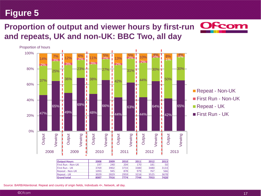## **Proportion of output and viewer hours by first-run and repeats, UK and non-UK: BBC Two, all day**



| <b>Output Hours</b>        | 2008 | 2009 | 2010 | 2011 | 2012 | 2013 |
|----------------------------|------|------|------|------|------|------|
| <b>IFirst Run - Non-UK</b> | 197  | 240  | 204  | 170  | 181  | 50   |
| <b>IFirst Run - UK</b>     | 3769 | 3902 | 3733 | 3380 | 3480 | 3133 |
| <b>Repeat - Non-UK</b>     | 1093 | 945  | 878  | 979  | 767  | 566  |
| <b>IRepeat - UK</b>        | 3029 | 2829 | 2959 | 3216 | 3525 | 3678 |
| <b>Grand total</b>         | 8087 | 7916 | 7774 | 7744 | 7953 | 7428 |

Repeat - Non-UK **First Run - Non-UK** Repeat - UK **First Run - UK** 

Source: BARB/Attentional. Repeat and country of origin fields, Individuals 4+, Network, all day.

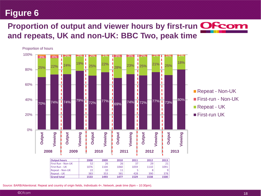### **Proportion of output and viewer hours by first-run OF com and repeats, UK and non-UK: BBC Two, peak time**



Source: BARB/Attentional. Repeat and country of origin fields, Individuals 4+, Network, peak time (6pm – 10:30pm).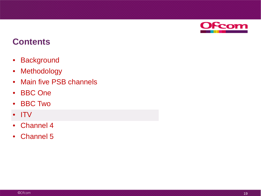

- Background
- Methodology
- Main five PSB channels
- BBC One
- BBC Two
- ITV
- Channel 4
- Channel 5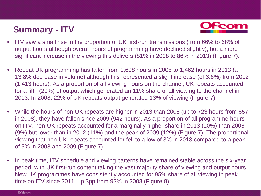# **Summary - ITV**



- ITV saw a small rise in the proportion of UK first-run transmissions (from 66% to 68% of output hours although overall hours of programming have declined slightly), but a more significant increase in the viewing this delivers (81% in 2008 to 86% in 2013) (Figure 7).
- Repeat UK programming has fallen from 1,698 hours in 2008 to 1,462 hours in 2013 (a 13.8% decrease in volume) although this represented a slight increase (of 3.6%) from 2012 (1,413 hours). As a proportion of all viewing hours on the channel, UK repeats accounted for a fifth (20%) of output which generated an 11% share of all viewing to the channel in 2013. In 2008, 22% of UK repeats output generated 13% of viewing (Figure 7).
- While the hours of non-UK repeats are higher in 2013 than 2008 (up to 723 hours from 657 in 2008), they have fallen since 2009 (942 hours). As a proportion of all programme hours on ITV, non-UK repeats accounted for a marginally higher share in 2013 (10%) than 2008 (9%) but lower than in 2012 (11%) and the peak of 2009 (12%) (Figure 7). The proportional viewing that non-UK repeats accounted for fell to a low of 3% in 2013 compared to a peak of 5% in 2008 and 2009 (Figure 7).
- In peak time, ITV schedule and viewing patterns have remained stable across the six-year period, with UK first-run content taking the vast majority share of viewing and output hours. New UK programmes have consistently accounted for 95% share of all viewing in peak time on ITV since 2011, up 3pp from 92% in 2008 (Figure 8).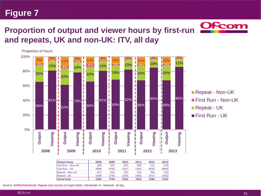

# **Proportion of output and viewer hours by first-run @Fcon and repeats, UK and non-UK: ITV, all day**



Repeat - UK 1698 1736 1736 1481 1413 1462 **Grand total 7600 7744 7829 7810 7286 7165**

Source: BARB/Attentional. Repeat and country of origin fields, Individuals 4+, Network, all day.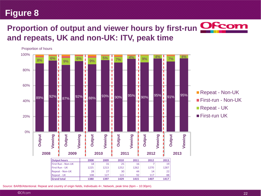# **Proportion of output and viewer hours by first-run <b>OFcom and repeats, UK and non-UK: ITV, peak time**



Source: BARB/Attentional. Repeat and country of origin fields, Individuals 4+, Network, peak time (6pm – 10:30pm).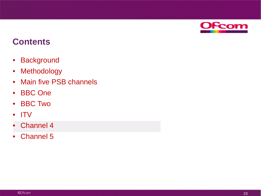

- Background
- Methodology
- Main five PSB channels
- BBC One
- BBC Two
- ITV
- Channel 4
- Channel 5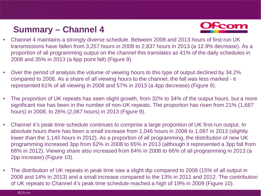# **Summary – Channel 4**



- Channel 4 maintains a strongly diverse schedule. Between 2008 and 2013 hours of first-run UK transmissions have fallen from 3,257 hours in 2008 to 2,837 hours in 2013 (a 12.9% decrease). As a proportion of all programming output on the channel this translates as 41% of the daily schedules in 2008 and 35% in 2013 (a 6pp point fall) (Figure 9).
- Over the period of analysis the volume of viewing hours to this type of output declined by 34.2% compared to 2008. As a share of all viewing hours to the channel, the fall was less marked - it represented 61% of all viewing in 2008 and 57% in 2013 (a 4pp decrease) (Figure 9).
- The proportion of UK repeats has seen slight growth, from 32% to 34% of the output hours, but a more significant rise has been in the number of non-UK repeats. The proportion has risen from 21% (1,687 hours) in 2008, to 26% (2,067 hours) in 2013 (Figure 9).
- Channel 4's peak time schedule continues to comprise a large proportion of UK first-run output. In absolute hours there has been a small increase from 1,046 hours in 2008 to 1,097 in 2013 (slightly lower than the 1,145 hours in 2012). As a proportion of all programming, the distribution of new UK programming increased 3pp from 62% in 2008 to 65% in 2013 (although it represented a 3pp fall from 68% in 2012). Viewing share also increased from 64% in 2008 to 66% of all programming in 2013 (a 2pp increase) (Figure 10).
- The distribution of UK repeats in peak time saw a slight dip compared to 2008 (15% of all output in 2008 and 14% in 2013) and a small increase compared to the 13% in 2011 and 2012. The contribution of UK repeats to Channel 4's peak time schedule reached a high of 19% in 2009 (Figure 10).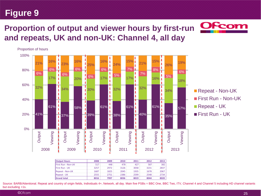Proportion of hours

#### **Proportion of output and viewer hours by first-run and repeats, UK and non-UK: Channel 4, all day**





| <b>Output Hours</b>       | 2008 | 2009 | 2010 | 2011 | 2012 | 2013 |
|---------------------------|------|------|------|------|------|------|
| <b>First Run - Non-UK</b> | 517  | 448  | 478  | 427  | 587  | 382  |
| <b>First Run - UK</b>     | 3257 | 2972 | 3126 | 3058 | 3231 | 2837 |
| <b>Repeat - Non-UK</b>    | 1687 | 1825 | 2045 | 1935 | 1678 | 2067 |
| Repeat - UK               | 2555 | 2751 | 2386 | 2599 | 2548 | 2734 |
| <b>Grand total</b>        | 8016 | 7997 | 8036 | 8019 | 8044 | 8020 |



Source: BARB/Attentional. Repeat and country of origin fields, Individuals 4+, Network, all day. Main five PSBs = BBC One, BBC Two, ITV, Channel 4 and Channel 5 including HD channel variants but excluding +1s.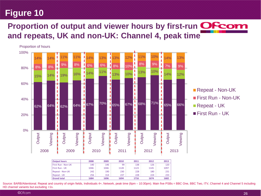### **Proportion of output and viewer hours by first-run OF com and repeats, UK and non-UK: Channel 4, peak time**



| <b>Output hours</b>    | 2008 | 2009 | 2010 | 2011 | 2012 | 2013 |
|------------------------|------|------|------|------|------|------|
| First Run - Non-UK     | 140  | 146  | 99   | 138  | 126  | 120  |
| <b>First Run - UK</b>  | 1046 | 1046 | 1128 | 1123 | 1145 | 1097 |
| <b>Repeat - Non-UK</b> | 242  | 190  | 230  | 228  | 180  | 231  |
| <b>Repeat - UK</b>     | 256  | 314  | 237  | 228  | 224  | 233  |
| <b>Grand total</b>     | 1684 | 1696 | 1694 | 1716 | 1674 | 1682 |

**First Run - Non-UK First Run - UK** 

Source: BARB/Attentional. Repeat and country of origin fields, Individuals 4+, Network, peak time (6pm – 10:30pm). Main five PSBs = BBC One, BBC Two, ITV, Channel 4 and Channel 5 including HD channel variants but excluding +1s.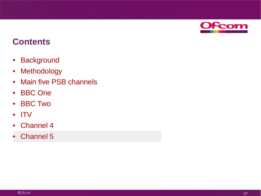

- Background
- Methodology
- Main five PSB channels
- BBC One
- BBC Two
- ITV
- Channel 4
- Channel 5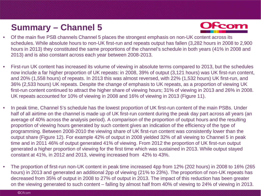# **Summary – Channel 5**



- Of the main five PSB channels Channel 5 places the strongest emphasis on non-UK content across its schedules. While absolute hours to non-UK first-run and repeats output has fallen (3,282 hours in 2008 to 2,900 hours in 2013) they constituted the same proportions of the channel's schedule in both years (41% in 2008 and 2013) and is also constant across each year between 2008-2013.
- First-run UK content has increased its volume of viewing in absolute terms compared to 2013, but the schedules now include a far higher proportion of UK repeats: in 2008, 39% of output (3,121 hours) was UK first-run content, and 20% (1,558 hours) of repeats. In 2013 this was almost reversed, with 22% (1,532 hours) UK first-run, and 36% (2,533 hours) UK repeats. Despite the change of emphasis to UK repeats, as a proportion of viewing UK first-run content continued to attract the higher share of viewing hours; 31% of viewing in 2013 and 26% in 2008. UK repeats accounted for 10% of viewing in 2008 and 16% of viewing in 2013 (Figure 11).
- In peak time, Channel 5's schedule has the lowest proportion of UK first-run content of the main PSBs. Under half of all airtime on the channel is made up of UK first-run content during the peak day part across all years (an average of 40% across the analysis period). A comparison of the proportion of output hours and the resulting proportion of viewing hours generated by such content gives an indication of the efficiency of the type of programming. Between 2008-2010 the viewing share of UK first-run content was consistently lower than the output share (Figure 12). For example 42% of output in 2008 yielded 32% of all viewing to Channel 5 in peak time and in 2011 46% of output generated 41% of viewing. From 2012 the proportion of UK first-run output generated a higher proportion of viewing for the first time which was sustained in 2013. While output stayed constant at 41%, in 2012 and 2013, viewing increased from 42% to 43%.
- The proportion of first-run non-UK content in peak time increased 4pp from 12% (202 hours) in 2008 to 16% (265 hours) in 2013 and generated an additional 2pp of viewing (21% to 23%). The proportion of non-UK repeats has decreased from 35% of output in 2008 to 27% of output in 2013. The impact of this reduction has been greater on the viewing generated to such content – falling by almost half from 40% of viewing to 24% of viewing in 2013.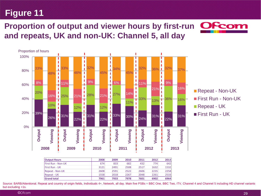#### **Proportion of output and viewer hours by first-run OFcom and repeats, UK and non-UK: Channel 5, all day**



| <b>Output Hours</b>        | 2008 | 2009 | 2010 | 2011 | 2012 | 2013 |
|----------------------------|------|------|------|------|------|------|
| <b>IFirst Run - Non-UK</b> | 674  | 833  | 682  | 432  | 774  | 642  |
| <b>IFirst Run - UK</b>     | 3121 | 2491 | 2508 | 2517 | 1632 | 1532 |
| Repeat - Non-UK            | 2608 | 2591 | 2522 | 2606 | 2235 | 2258 |
| IRepeat - UK               | 1558 | 2018 | 2267 | 2048 | 2261 | 2533 |
| <b>Grand total</b>         | 7961 | 7933 | 7978 | 7601 | 6902 | 6964 |

**First Run - Non-UK** Repeat - UK First Run - UK

Source: BARB/Attentional. Repeat and country of origin fields, Individuals 4+, Network, all day. Main five PSBs = BBC One, BBC Two, ITV, Channel 4 and Channel 5 including HD channel variants but excluding +1s.